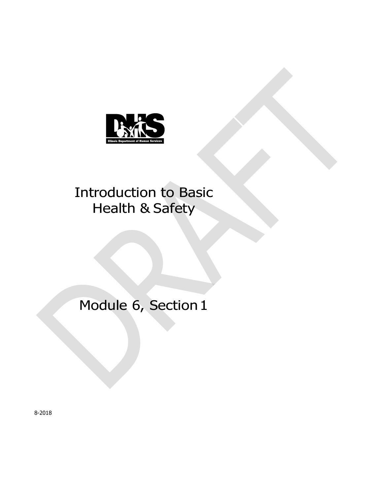

# Introduction to Basic Health & Safety

# Module 6, Section 1

8-2018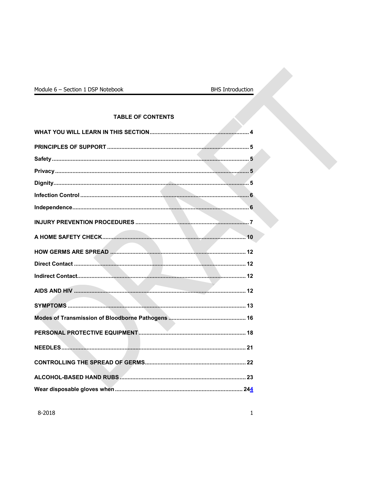## **TABLE OF CONTENTS**

ķ.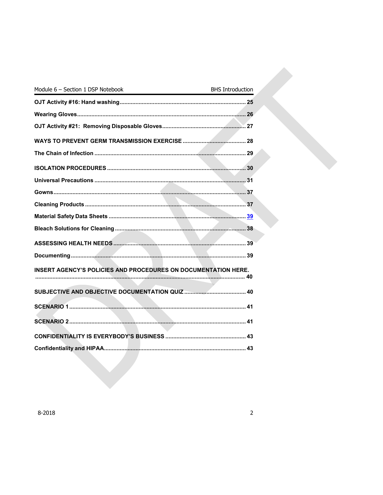| Module 6 - Section 1 DSP Notebook<br><u> 1980 - Johann Barnett, fransk konge</u> | <b>BHS Introduction</b> |
|----------------------------------------------------------------------------------|-------------------------|
|                                                                                  |                         |
|                                                                                  |                         |
|                                                                                  |                         |
|                                                                                  |                         |
|                                                                                  |                         |
|                                                                                  |                         |
|                                                                                  |                         |
|                                                                                  |                         |
|                                                                                  |                         |
|                                                                                  |                         |
|                                                                                  |                         |
|                                                                                  |                         |
|                                                                                  |                         |
| <b>INSERT AGENCY'S POLICIES AND PROCEDURES ON DOCUMENTATION HERE.</b>            |                         |
|                                                                                  |                         |
|                                                                                  |                         |
|                                                                                  |                         |
|                                                                                  |                         |
|                                                                                  |                         |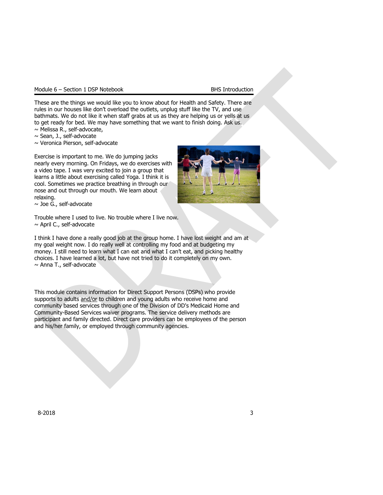|  |  | Module 6 – Section 1 DSP Notebook |
|--|--|-----------------------------------|
|  |  |                                   |

These are the things we would like you to know about for Health and Safety. There are rules in our houses like don't overload the outlets, unplug stuff like the TV, and use bathmats. We do not like it when staff grabs at us as they are helping us or yells at us to get ready for bed. We may have something that we want to finish doing. Ask us.

~ Melissa R., self-advocate,

 $\sim$  Sean, J., self-advocate

~ Veronica Pierson, self-advocate

Exercise is important to me. We do jumping jacks nearly every morning. On Fridays, we do exercises with a video tape. I was very excited to join a group that learns a little about exercising called Yoga. I think it is cool. Sometimes we practice breathing in through our nose and out through our mouth. We learn about relaxing.



 $\sim$  Joe G., self-advocate

Trouble where I used to live. No trouble where I live now.  $\sim$  April C., self-advocate

I think I have done a really good job at the group home. I have lost weight and am at my goal weight now. I do really well at controlling my food and at budgeting my money. I still need to learn what I can eat and what I can't eat, and picking healthy choices. I have learned a lot, but have not tried to do it completely on my own. ~ Anna T., self-advocate

This module contains information for Direct Support Persons (DSPs) who provide supports to adults and/or to children and young adults who receive home and community based services through one of the Division of DD's Medicaid Home and Community-Based Services waiver programs. The service delivery methods are participant and family directed. Direct care providers can be employees of the person and his/her family, or employed through community agencies.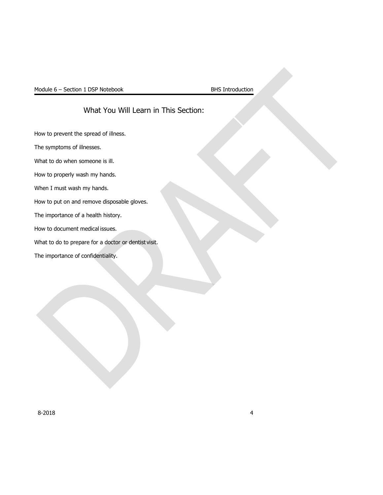## What You Will Learn in This Section:

<span id="page-4-0"></span>How to prevent the spread of illness.

The symptoms of illnesses.

What to do when someone is ill.

How to properly wash my hands.

When I must wash my hands.

How to put on and remove disposable gloves.

The importance of a health history.

How to document medical issues.

What to do to prepare for a doctor or dentist visit.

The importance of confidentiality.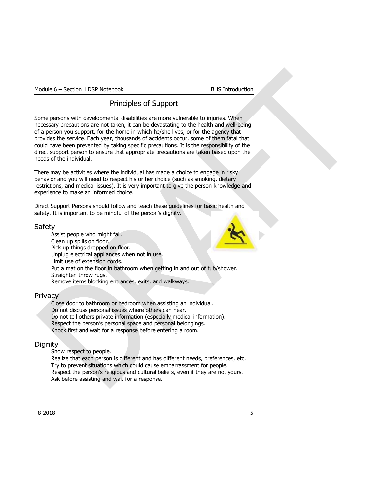## Principles of Support

<span id="page-5-0"></span>Some persons with developmental disabilities are more vulnerable to injuries. When necessary precautions are not taken, it can be devastating to the health and well-being of a person you support, for the home in which he/she lives, or for the agency that provides the service. Each year, thousands of accidents occur, some of them fatal that could have been prevented by taking specific precautions. It is the responsibility of the direct support person to ensure that appropriate precautions are taken based upon the needs of the individual.

There may be activities where the individual has made a choice to engage in risky behavior and you will need to respect his or her choice (such as smoking, dietary restrictions, and medical issues). It is very important to give the person knowledge and experience to make an informed choice.

Direct Support Persons should follow and teach these guidelines for basic health and safety. It is important to be mindful of the person's dignity.

## <span id="page-5-1"></span>Safety

Assist people who might fall. Clean up spills on floor. Pick up things dropped on floor. Unplug electrical appliances when not in use. Limit use of extension cords. Put a mat on the floor in bathroom when getting in and out of tub/shower. Straighten throw rugs. Remove items blocking entrances, exits, and walkways.

## <span id="page-5-2"></span>**Privacy**

Close door to bathroom or bedroom when assisting an individual. Do not discuss personal issues where others can hear. Do not tell others private information (especially medical information). Respect the person's personal space and personal belongings. Knock first and wait for a response before entering a room.

## <span id="page-5-3"></span>**Dignity**

Show respect to people.

Realize that each person is different and has different needs, preferences, etc. Try to prevent situations which could cause embarrassment for people. Respect the person's religious and cultural beliefs, even if they are not yours. Ask before assisting and wait for a response.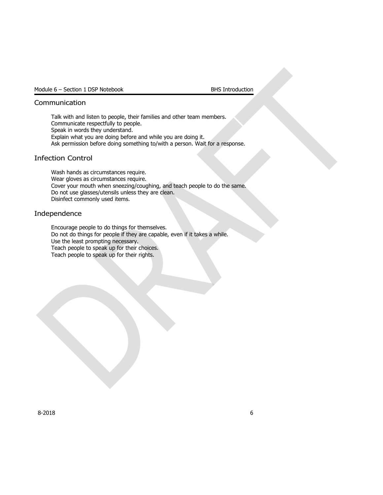## Communication

Talk with and listen to people, their families and other team members. Communicate respectfully to people. Speak in words they understand. Explain what you are doing before and while you are doing it. Ask permission before doing something to/with a person. Wait for a response.

## <span id="page-6-0"></span>Infection Control

Wash hands as circumstances require. Wear gloves as circumstances require. Cover your mouth when sneezing/coughing, and teach people to do the same. Do not use glasses/utensils unless they are clean. Disinfect commonly used items.

## <span id="page-6-1"></span>Independence

Encourage people to do things for themselves. Do not do things for people if they are capable, even if it takes a while. Use the least prompting necessary. Teach people to speak up for their choices. Teach people to speak up for their rights.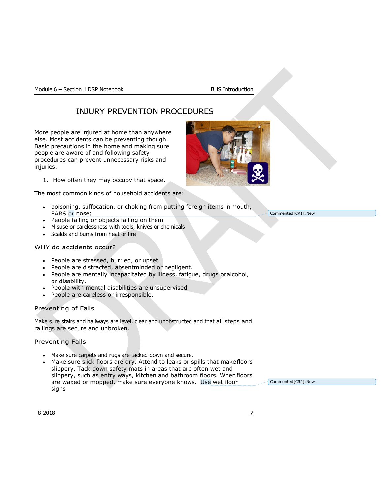## <span id="page-7-0"></span>INJURY PREVENTION PROCEDURES

More people are injured at home than anywhere else. Most accidents can be preventing though. Basic precautions in the home and making sure people are aware of and following safety procedures can prevent unnecessary risks and injuries.

1. How often they may occupy that space.

The most common kinds of household accidents are:

- poisoning, suffocation, or choking from putting foreign items inmouth, EARS or nose;
- People falling or objects falling on them
- Misuse or carelessness with tools, knives or chemicals
- Scalds and burns from heat or fire

## WHY do accidents occur?

- People are stressed, hurried, or upset.
- People are distracted, absentminded or negligent.
- People are mentally incapacitated by illness, fatigue, drugs oralcohol, or disability.
- People with mental disabilities are unsupervised
- People are careless or irresponsible.

## Preventing of Falls

Make sure stairs and hallways are level, clear and unobstructed and that all steps and railings are secure and unbroken.

Preventing Falls

- Make sure carpets and rugs are tacked down and secure.
- Make sure slick floors are dry. Attend to leaks or spills that makefloors slippery. Tack down safety mats in areas that are often wet and slippery, such as entry ways, kitchen and bathroom floors. Whenfloors are waxed or mopped, make sure everyone knows. Use wet floor signs

Commented [CR2]: New





Commented [CR1]: New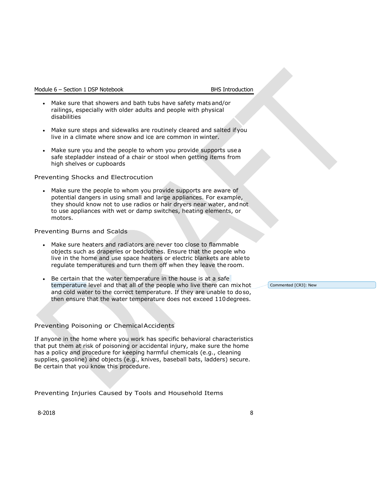- Make sure that showers and bath tubs have safety mats and/or railings, especially with older adults and people with physical disabilities
- Make sure steps and sidewalks are routinely cleared and salted ifyou live in a climate where snow and ice are common in winter.
- Make sure you and the people to whom you provide supports usea safe stepladder instead of a chair or stool when getting items from high shelves or cupboards

### Preventing Shocks and Electrocution

• Make sure the people to whom you provide supports are aware of potential dangers in using small and large appliances. For example, they should know not to use radios or hair dryers near water, andnot to use appliances with wet or damp switches, heating elements, or motors.

## Preventing Burns and Scalds

- Make sure heaters and radiators are never too close to flammable objects such as draperies or bedclothes. Ensure that the people who live in the home and use space heaters or electric blankets are ableto regulate temperatures and turn them off when they leave the room.
- Be certain that the water temperature in the house is at a safe temperature level and that all of the people who live there can mixhot and cold water to the correct temperature. If they are unable to doso, then ensure that the water temperature does not exceed 110degrees.

## Preventing Poisoning or ChemicalAccidents

If anyone in the home where you work has specific behavioral characteristics that put them at risk of poisoning or accidental injury, make sure the home has a policy and procedure for keeping harmful chemicals (e.g., cleaning supplies, gasoline) and objects (e.g., knives, baseball bats, ladders) secure. Be certain that you know this procedure.

Preventing Injuries Caused by Tools and Household Items

8-2018 8

Commented [CR3]: New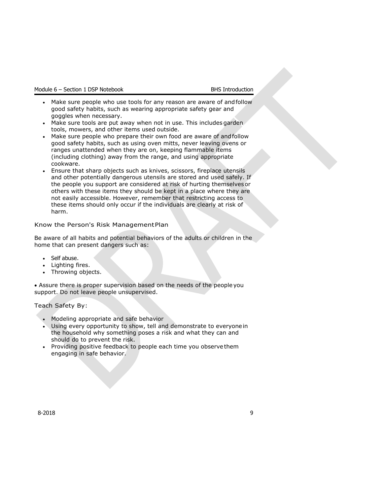- Make sure people who use tools for any reason are aware of andfollow good safety habits, such as wearing appropriate safety gear and goggles when necessary.
- Make sure tools are put away when not in use. This includes garden tools, mowers, and other items used outside.
- Make sure people who prepare their own food are aware of andfollow good safety habits, such as using oven mitts, never leaving ovens or ranges unattended when they are on, keeping flammable items (including clothing) away from the range, and using appropriate cookware.
- Ensure that sharp objects such as knives, scissors, fireplace utensils and other potentially dangerous utensils are stored and used safely. If the people you support are considered at risk of hurting themselvesor others with these items they should be kept in a place where they are not easily accessible. However, remember that restricting access to these items should only occur if the individuals are clearly at risk of harm.

## Know the Person's Risk ManagementPlan

Be aware of all habits and potential behaviors of the adults or children in the home that can present dangers such as:

- Self abuse.
- Lighting fires.
- Throwing objects.

• Assure there is proper supervision based on the needs of the peopleyou support. Do not leave people unsupervised.

Teach Safety By:

- Modeling appropriate and safe behavior
- Using every opportunity to show, tell and demonstrate to everyonein the household why something poses a risk and what they can and should do to prevent the risk.
- Providing positive feedback to people each time you observethem engaging in safe behavior.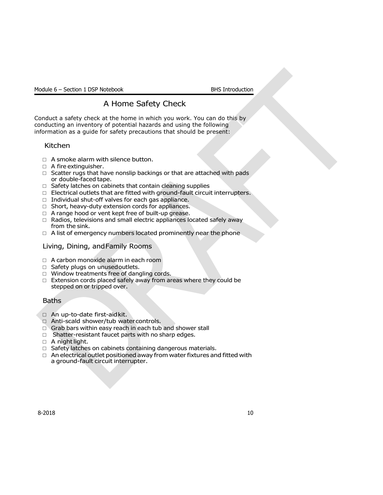## A Home Safety Check

<span id="page-10-0"></span>Conduct a safety check at the home in which you work. You can do this by conducting an inventory of potential hazards and using the following information as a guide for safety precautions that should be present:

## Kitchen

- $\Box$  A smoke alarm with silence button.
- $\Box$  A fire extinguisher.
- $\Box$  Scatter rugs that have nonslip backings or that are attached with pads or double-faced tape.
- $\Box$  Safety latches on cabinets that contain cleaning supplies
- $\Box$  Electrical outlets that are fitted with ground-fault circuit interrupters.
- $\Box$  Individual shut-off valves for each gas appliance.
- □ Short, heavy-duty extension cords for appliances.
- □ A range hood or vent kept free of built-up grease.
- □ Radios, televisions and small electric appliances located safely away from the sink.
- $\Box$  A list of emergency numbers located prominently near the phone

## Living, Dining, andFamily Rooms

- □ A carbon monoxide alarm in each room
- □ Safety plugs on unusedoutlets.
- □ Window treatments free of dangling cords.
- $\Box$  Extension cords placed safely away from areas where they could be stepped on or tripped over.

## Baths

- □ An up-to-date first-aidkit.
- □ Anti-scald shower/tub watercontrols.
- □ Grab bars within easy reach in each tub and shower stall
- □ Shatter-resistant faucet parts with no sharp edges.
- $\Box$  A nightlight.
- □ Safety latches on cabinets containing dangerous materials.
- $\Box$  An electrical outlet positioned away from water fixtures and fitted with a ground-fault circuit interrupter.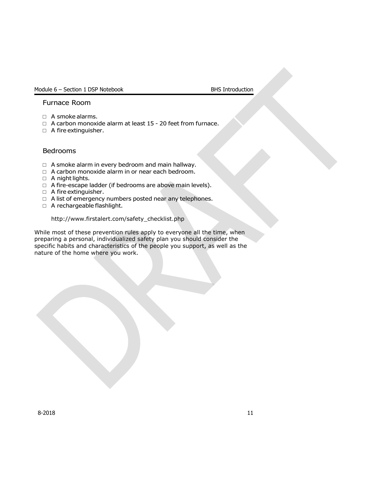## Furnace Room

- □ A smoke alarms.
- □ A carbon monoxide alarm at least 15 20 feet from furnace.
- □ A fire extinguisher.

## Bedrooms

- $\Box$  A smoke alarm in every bedroom and main hallway.
- □ A carbon monoxide alarm in or near each bedroom.
- □ A night lights.
- □ A fire-escape ladder (if bedrooms are above main levels).
- □ A fire extinguisher.
- □ A list of emergency numbers posted near any telephones.
- □ A rechargeable flashlight.

#### [http://www.firstalert.com/safety\\_checklist.php](http://www.firstalert.com/safety_checklist.php)

While most of these prevention rules apply to everyone all the time, when preparing a personal, individualized safety plan you should consider the specific habits and characteristics of the people you support, as well as the nature of the home where you work.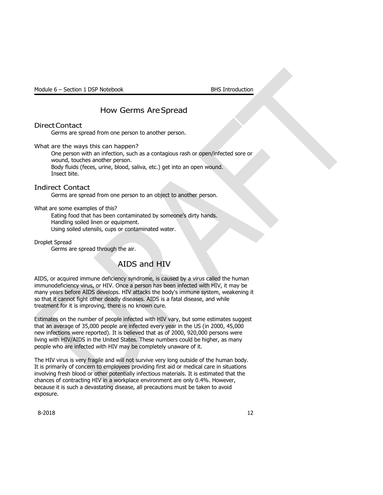## How Germs AreSpread

## <span id="page-12-0"></span>DirectContact

Germs are spread from one person to another person.

What are the ways this can happen?

One person with an infection, such as a contagious rash or open/infected sore or wound, touches another person. Body fluids (feces, urine, blood, saliva, etc.) get into an open wound. Insect bite.

<span id="page-12-1"></span>Indirect Contact

Germs are spread from one person to an object to another person.

What are some examples of this?

Eating food that has been contaminated by someone's dirty hands. Handling soiled linen or equipment. Using soiled utensils, cups or contaminated water.

Droplet Spread

Germs are spread through the air.

## AIDS and HIV

<span id="page-12-2"></span>AIDS, or acquired immune deficiency syndrome, is caused by a virus called the human immunodeficiency virus, or HIV. Once a person has been infected with HIV, it may be many years before AIDS develops. HIV attacks the body's immune system, weakening it so that it cannot fight other deadly diseases. AIDS is a fatal disease, and while treatment for it is improving, there is no known cure.

Estimates on the number of people infected with HIV vary, but some estimates suggest that an average of 35,000 people are infected every year in the US (in 2000, 45,000 new infections were reported). It is believed that as of 2000, 920,000 persons were living with HIV/AIDS in the United States. These numbers could be higher, as many people who are infected with HIV may be completely unaware of it.

The HIV virus is very fragile and will not survive very long outside of the human body. It is primarily of concern to employees providing first aid or medical care in situations involving fresh blood or other potentially infectious materials. It is estimated that the chances of contracting HIV in a workplace environment are only 0.4%. However, because it is such a devastating disease, all precautions must be taken to avoid exposure.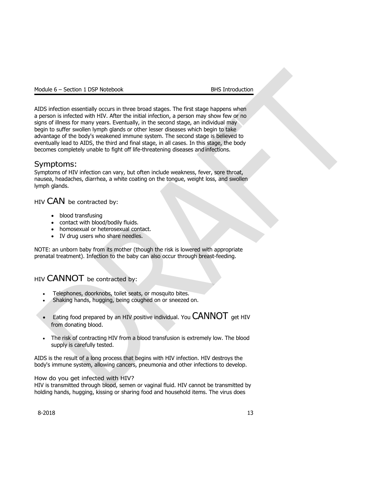AIDS infection essentially occurs in three broad stages. The first stage happens when a person is infected with HIV. After the initial infection, a person may show few or no signs of illness for many years. Eventually, in the second stage, an individual may begin to suffer swollen lymph glands or other lesser diseases which begin to take advantage of the body's weakened immune system. The second stage is believed to eventually lead to AIDS, the third and final stage, in all cases. In this stage, the body becomes completely unable to fight off life-threatening diseases and infections.

## <span id="page-13-0"></span>Symptoms:

Symptoms of HIV infection can vary, but often include weakness, fever, sore throat, nausea, headaches, diarrhea, a white coating on the tongue, weight loss, and swollen lymph glands.

HIV CAN be contracted by:

- blood transfusing
- contact with blood/bodily fluids.
- homosexual or heterosexual contact.
- IV drug users who share needles.

NOTE: an unborn baby from its mother (though the risk is lowered with appropriate prenatal treatment). Infection to the baby can also occur through breast-feeding.

## HIV CANNOT be contracted by:

- Telephones, doorknobs, toilet seats, or mosquito bites.
- Shaking hands, hugging, being coughed on or sneezed on.
- Eating food prepared by an HIV positive individual. You  $CANNOT$  get HIV from donating blood.
- The risk of contracting HIV from a blood transfusion is extremely low. The blood supply is carefully tested.

AIDS is the result of a long process that begins with HIV infection. HIV destroys the body's immune system, allowing cancers, pneumonia and other infections to develop.

## How do you get infected with HIV?

HIV is transmitted through blood, semen or vaginal fluid. HIV cannot be transmitted by holding hands, hugging, kissing or sharing food and household items. The virus does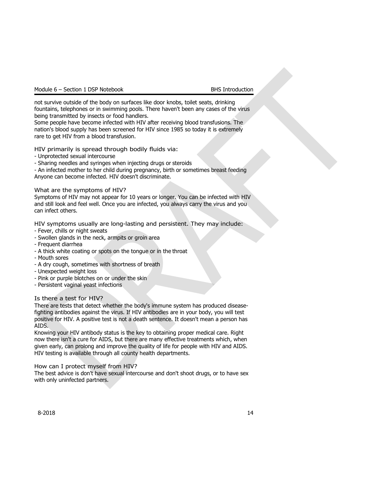not survive outside of the body on surfaces like door knobs, toilet seats, drinking fountains, telephones or in swimming pools. There haven't been any cases of the virus being transmitted by insects or food handlers.

Some people have become infected with HIV after receiving blood transfusions. The nation's blood supply has been screened for HIV since 1985 so today it is extremely rare to get HIV from a blood transfusion.

HIV primarily is spread through bodily fluids via:

- Unprotected sexual intercourse
- Sharing needles and syringes when injecting drugs or steroids

- An infected mother to her child during pregnancy, birth or sometimes breast feeding Anyone can become infected. HIV doesn't discriminate.

## What are the symptoms of HIV?

Symptoms of HIV may not appear for 10 years or longer. You can be infected with HIV and still look and feel well. Once you are infected, you always carry the virus and you can infect others.

HIV symptoms usually are long-lasting and persistent. They may include:

- Fever, chills or night sweats
- Swollen glands in the neck, armpits or groin area
- Frequent diarrhea
- A thick white coating or spots on the tongue or in the throat
- Mouth sores
- A dry cough, sometimes with shortness of breath
- Unexpected weight loss
- Pink or purple blotches on or under the skin
- Persistent vaginal yeast infections

Is there a test for HIV?

There are tests that detect whether the body's immune system has produced diseasefighting antibodies against the virus. If HIV antibodies are in your body, you will test positive for HIV. A positive test is not a death sentence. It doesn't mean a person has AIDS.

Knowing your HIV antibody status is the key to obtaining proper medical care. Right now there isn't a cure for AIDS, but there are many effective treatments which, when given early, can prolong and improve the quality of life for people with HIV and AIDS. HIV testing is available through all county health departments.

## How can I protect myself from HIV?

The best advice is don't have sexual intercourse and don't shoot drugs, or to have sex with only uninfected partners.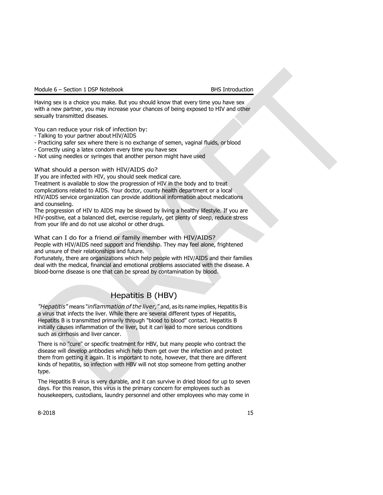Having sex is a choice you make. But you should know that every time you have sex with a new partner, you may increase your chances of being exposed to HIV and other sexually transmitted diseases.

You can reduce your risk of infection by:

- Talking to your partner about HIV/AIDS
- Practicing safer sex where there is no exchange of semen, vaginal fluids, or blood
- Correctly using a latex condom every time you have sex
- Not using needles or syringes that another person might have used

### What should a person with HIV/AIDS do?

If you are infected with HIV, you should seek medical care.

Treatment is available to slow the progression of HIV in the body and to treat complications related to AIDS. Your doctor, county health department or a local HIV/AIDS service organization can provide additional information about medications and counseling.

The progression of HIV to AIDS may be slowed by living a healthy lifestyle. If you are HIV-positive, eat a balanced diet, exercise regularly, get plenty of sleep, reduce stress from your life and do not use alcohol or other drugs.

What can I do for a friend or family member with HIV/AIDS?

People with HIV/AIDS need support and friendship. They may feel alone, frightened and unsure of their relationships and future.

Fortunately, there are organizations which help people with HIV/AIDS and their families deal with the medical, financial and emotional problems associated with the disease. A blood-borne disease is one that can be spread by contamination by blood.

## Hepatitis B (HBV)

*"Hepatitis"* means "*inflammation ofthe liver,"* and, as its name implies, Hepatitis B is a virus that infects the liver. While there are several different types of Hepatitis, Hepatitis B is transmitted primarily through "blood to blood" contact. Hepatitis B initially causes inflammation of the liver, but it can lead to more serious conditions such as cirrhosis and liver cancer.

There is no "cure" or specific treatment for HBV, but many people who contract the disease will develop antibodies which help them get over the infection and protect them from getting it again. It is important to note, however, that there are different kinds of hepatitis, so infection with HBV will not stop someone from getting another type.

The Hepatitis B virus is very durable, and it can survive in dried blood for up to seven days. For this reason, this virus is the primary concern for employees such as housekeepers, custodians, laundry personnel and other employees who may come in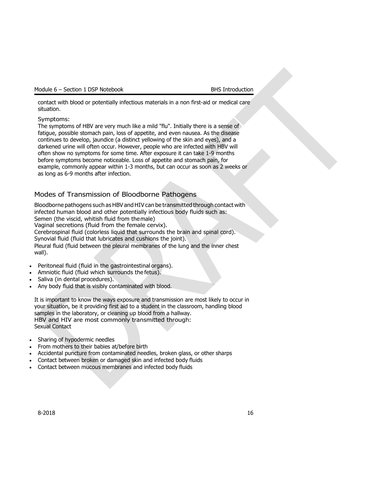contact with blood or potentially infectious materials in a non first-aid or medical care situation.

## Symptoms:

The symptoms of HBV are very much like a mild "flu". Initially there is a sense of fatigue, possible stomach pain, loss of appetite, and even nausea. As the disease continues to develop, jaundice (a distinct yellowing of the skin and eyes), and a darkened urine will often occur. However, people who are infected with HBV will often show no symptoms for some time. After exposure it can take 1-9 months before symptoms become noticeable. Loss of appetite and stomach pain, for example, commonly appear within 1-3 months, but can occur as soon as 2 weeks or as long as 6-9 months after infection.

## <span id="page-16-0"></span>Modes of Transmission of Bloodborne Pathogens

Bloodborne pathogens such as HBV and HIV can be transmitted through contact with infected human blood and other potentially infectious body fluids such as: Semen (the viscid, whitish fluid from themale) Vaginal secretions (fluid from the female cervix). Cerebrospinal fluid (colorless liquid that surrounds the brain and spinal cord). Synovial fluid (fluid that lubricates and cushions the joint). Pleural fluid (fluid between the pleural membranes of the lung and the inner chest wall).

- Peritoneal fluid (fluid in the gastrointestinal organs).
- Amniotic fluid (fluid which surrounds the fetus).
- Saliva (in dental procedures).
- Any body fluid that is visibly contaminated with blood.

It is important to know the ways exposure and transmission are most likely to occur in your situation, be it providing first aid to a student in the classroom, handling blood samples in the laboratory, or cleaning up blood from a hallway. HBV and HIV are most commonly transmitted through: Sexual Contact

- Sharing of hypodermic needles
- From mothers to their babies at/before birth
- Accidental puncture from contaminated needles, broken glass, or other sharps
- Contact between broken or damaged skin and infected body fluids
- Contact between mucous membranes and infected body fluids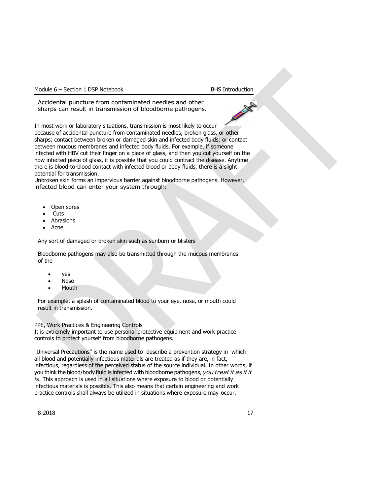Accidental puncture from contaminated needles and other sharps can result in transmission of bloodborne pathogens.

In most work or laboratory situations, transmission is most likely to occur because of accidental puncture from contaminated needles, broken glass, or other sharps; contact between broken or damaged skin and infected body fluids; or contact between mucous membranes and infected body fluids. For example, if someone infected with HBV cut their finger on a piece of glass, and then you cut yourself on the now infected piece of glass, it is possible that you could contract the disease. Anytime there is blood-to-blood contact with infected blood or body fluids, there is a slight potential for transmission.

Unbroken skin forms an impervious barrier against bloodborne pathogens. However, infected blood can enter your system through:

- Open sores
- Cuts
- **Abrasions**
- Acne

Any sort of damaged or broken skin such as sunburn or blisters

Bloodborne pathogens may also be transmitted through the mucous membranes of the

- yes
- Nose
- Mouth

For example, a splash of contaminated blood to your eye, nose, or mouth could result in transmission.

PPE, Work Practices & Engineering Controls

It is extremely important to use personal protective equipment and work practice controls to protect yourself from bloodborne pathogens.

"Universal Precautions" is the name used to describe a prevention strategy in which all blood and potentially infectious materials are treated as if they are, in fact, infectious, regardless of the perceived status of the source individual. In other words, if you think the blood/body fluid is infected with bloodborne pathogens, *you treatit as if it is*. This approach is used in all situations where exposure to blood or potentially infectious materials is possible. This also means that certain engineering and work practice controls shall always be utilized in situations where exposure may occur.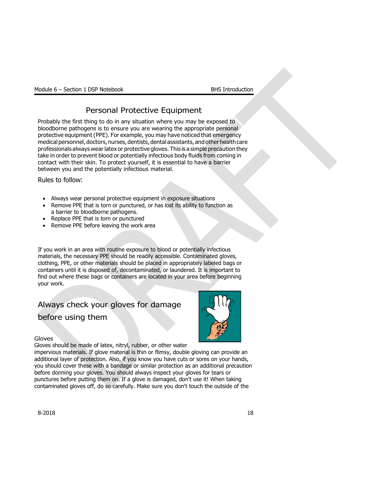## Personal Protective Equipment

<span id="page-18-0"></span>Probably the first thing to do in any situation where you may be exposed to bloodborne pathogens is to ensure you are wearing the appropriate personal protective equipment (PPE). For example, you may have noticed that emergency medical personnel, doctors, nurses, dentists, dental assistants, and other health care professionals always wearlatex or protective gloves. This is a simple precaution they take in order to prevent blood or potentially infectious body fluids from coming in contact with their skin. To protect yourself, it is essential to have a barrier between you and the potentially infectious material.

Rules to follow:

- Always wear personal protective equipment in exposure situations
- Remove PPE that is torn or punctured, or has lost its ability to function as a barrier to bloodborne pathogens.
- Replace PPE that is torn or punctured
- Remove PPE before leaving the work area

If you work in an area with routine exposure to blood or potentially infectious materials, the necessary PPE should be readily accessible. Contaminated gloves, clothing, PPE, or other materials should be placed in appropriately labeled bags or containers until it is disposed of, decontaminated, or laundered. It is important to find out where these bags or containers are located in your area before beginning your work.

## Always check your gloves for damage before using them



## Gloves

Gloves should be made of latex, nitryl, rubber, or other water

impervious materials. If glove material is thin or flimsy, double gloving can provide an additional layer of protection. Also, if you know you have cuts or sores on your hands, you should cover these with a bandage or similar protection as an additional precaution before donning your gloves. You should always inspect your gloves for tears or punctures before putting them on. If a glove is damaged, don't use it! When taking contaminated gloves off, do so carefully. Make sure you don't touch the outside of the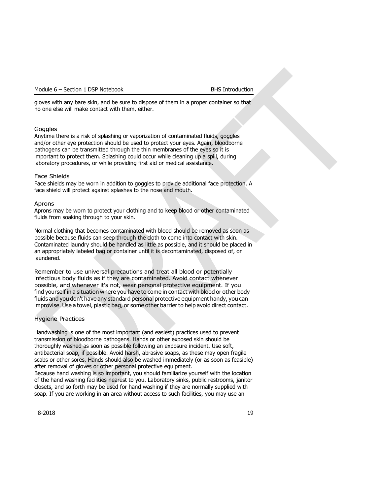gloves with any bare skin, and be sure to dispose of them in a proper container so that no one else will make contact with them, either.

### **Goggles**

Anytime there is a risk of splashing or vaporization of contaminated fluids, goggles and/or other eye protection should be used to protect your eyes. Again, bloodborne pathogens can be transmitted through the thin membranes of the eyes so it is important to protect them. Splashing could occur while cleaning up a spill, during laboratory procedures, or while providing first aid or medical assistance.

### Face Shields

Face shields may be worn in addition to goggles to provide additional face protection. A face shield will protect against splashes to the nose and mouth.

#### Aprons

Aprons may be worn to protect your clothing and to keep blood or other contaminated fluids from soaking through to your skin.

Normal clothing that becomes contaminated with blood should be removed as soon as possible because fluids can seep through the cloth to come into contact with skin. Contaminated laundry should be handled as little as possible, and it should be placed in an appropriately labeled bag or container until it is decontaminated, disposed of, or laundered.

Remember to use universal precautions and treat all blood or potentially infectious body fluids as if they are contaminated. Avoid contact whenever possible, and whenever it's not, wear personal protective equipment. If you find yourself in a situation where you have to come in contact with blood or other body fluids and you don't have any standard personal protective equipment handy, you can improvise. Use a towel, plastic bag, or some other barrier to help avoid direct contact.

## Hygiene Practices

Handwashing is one of the most important (and easiest) practices used to prevent transmission of bloodborne pathogens. Hands or other exposed skin should be thoroughly washed as soon as possible following an exposure incident. Use soft, antibacterial soap, if possible. Avoid harsh, abrasive soaps, as these may open fragile scabs or other sores. Hands should also be washed immediately (or as soon as feasible) after removal of gloves or other personal protective equipment.

Because hand washing is so important, you should familiarize yourself with the location of the hand washing facilities nearest to you. Laboratory sinks, public restrooms, janitor closets, and so forth may be used for hand washing if they are normally supplied with soap. If you are working in an area without access to such facilities, you may use an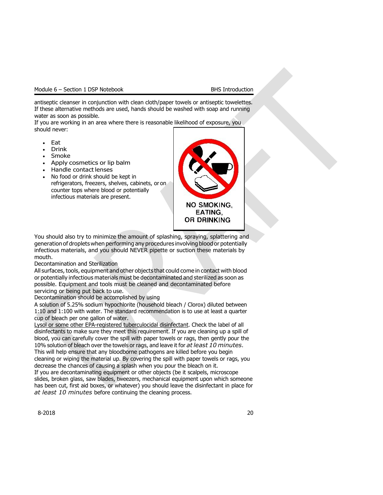antiseptic cleanser in conjunction with clean cloth/paper towels or antiseptic towelettes. If these alternative methods are used, hands should be washed with soap and running water as soon as possible.

If you are working in an area where there is reasonable likelihood of exposure, you should never:

- Eat
- Drink
- Smoke
- Apply cosmetics or lip balm
- Handle contact lenses
- No food or drink should be kept in refrigerators, freezers, shelves, cabinets, or on counter tops where blood or potentially infectious materials are present.



You should also try to minimize the amount of splashing, spraying, splattering and generation of droplets when performing any procedures involving blood or potentially infectious materials, and you should NEVER pipette or suction these materials by mouth.

## Decontamination and Sterilization

All surfaces, tools, equipment and other objects that could come in contact with blood or potentially infectious materials must be decontaminated and sterilized as soon as possible. Equipment and tools must be cleaned and decontaminated before servicing or being put back to use.

Decontamination should be accomplished by using

A solution of 5.25% sodium hypochlorite (household bleach / Clorox) diluted between 1:10 and 1:100 with water. The standard recommendation is to use at least a quarter cup of bleach per one gallon of water.

Lysol or some other EPA-registered tuberculocidal disinfectant. Check the label of all disinfectants to make sure they meet this requirement. If you are cleaning up a spill of blood, you can carefully cover the spill with paper towels or rags, then gently pour the 10% solution of bleach over the towels or rags, and leave it for *atleast 10 minutes*. This will help ensure that any bloodborne pathogens are killed before you begin cleaning or wiping the material up. By covering the spill with paper towels or rags, you

decrease the chances of causing a splash when you pour the bleach on it. If you are decontaminating equipment or other objects (be it scalpels, microscope slides, broken glass, saw blades, tweezers, mechanical equipment upon which someone has been cut, first aid boxes, or whatever) you should leave the disinfectant in place for *at least 10 minutes* before continuing the cleaning process.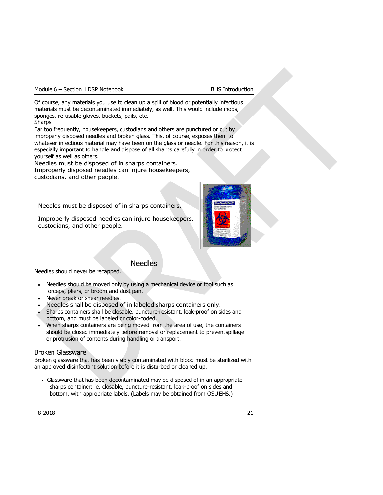Of course, any materials you use to clean up a spill of blood or potentially infectious materials must be decontaminated immediately, as well. This would include mops, sponges, re-usable gloves, buckets, pails, etc. Sharps

Far too frequently, housekeepers, custodians and others are punctured or cut by improperly disposed needles and broken glass. This, of course, exposes them to whatever infectious material may have been on the glass or needle. For this reason, it is especially important to handle and dispose of all sharps carefully in order to protect yourself as well as others.

Needles must be disposed of in sharps containers. Improperly disposed needles can injure housekeepers, custodians, and other people.

Needles must be disposed of in sharps containers.

Improperly disposed needles can injure housekeepers, custodians, and other people.



## Needles

<span id="page-21-0"></span>Needles should never be recapped.

- Needles should be moved only by using a mechanical device or tool such as forceps, pliers, or broom and dust pan.
- Never break or shear needles.
- Needles shall be disposed of in labeled sharps containers only.
- Sharps containers shall be closable, puncture-resistant, leak-proof on sides and bottom, and must be labeled or color-coded.
- When sharps containers are being moved from the area of use, the containers should be closed immediately before removal or replacement to prevent spillage or protrusion of contents during handling or transport.

## Broken Glassware

Broken glassware that has been visibly contaminated with blood must be sterilized with an approved disinfectant solution before it is disturbed or cleaned up.

• Glassware that has been decontaminated may be disposed of in an appropriate sharps container: ie. closable, puncture-resistant, leak-proof on sides and bottom, with appropriate labels. (Labels may be obtained from OSUEHS.)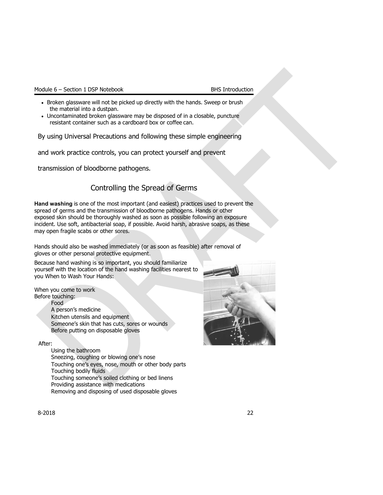|  |  | Module 6 – Section 1 DSP Notebook |
|--|--|-----------------------------------|
|  |  |                                   |

### **BHS Introduction**

- Broken glassware will not be picked up directly with the hands. Sweep or brush the material into a dustpan.
- Uncontaminated broken glassware may be disposed of in a closable, puncture resistant container such as a cardboard box or coffee can.

By using Universal Precautions and following these simple engineering

and work practice controls, you can protect yourself and prevent

<span id="page-22-0"></span>transmission of bloodborne pathogens.

## Controlling the Spread of Germs

**Hand washing** is one of the most important (and easiest) practices used to prevent the spread of germs and the transmission of bloodborne pathogens. Hands or other exposed skin should be thoroughly washed as soon as possible following an exposure incident. Use soft, antibacterial soap, if possible. Avoid harsh, abrasive soaps, as these may open fragile scabs or other sores.

Hands should also be washed immediately (or as soon as feasible) after removal of gloves or other personal protective equipment.

Because hand washing is so important, you should familiarize yourself with the location of the hand washing facilities nearest to you When to Wash Your Hands:

When you come to work Before touching:

Food

A person's medicine Kitchen utensils and equipment Someone's skin that has cuts, sores or wounds Before putting on disposable gloves

## After:

Using the bathroom Sneezing, coughing or blowing one's nose Touching one's eyes, nose, mouth or other body parts Touching bodily fluids Touching someone's soiled clothing or bed linens Providing assistance with medications Removing and disposing of used disposable gloves

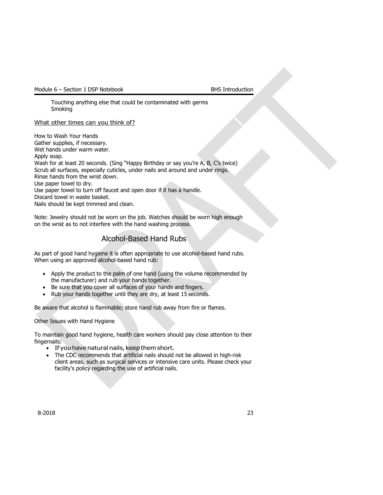Touching anything else that could be contaminated with germs Smoking

What other times can you think of?

How to Wash Your Hands Gather supplies, if necessary. Wet hands under warm water. Apply soap. Wash for at least 20 seconds. (Sing "Happy Birthday or say you're A, B, C's twice) Scrub all surfaces, especially cuticles, under nails and around and under rings. Rinse hands from the wrist down. Use paper towel to dry. Use paper towel to turn off faucet and open door if it has a handle. Discard towel in waste basket. Nails should be kept trimmed and clean.

Note: Jewelry should not be worn on the job. Watches should be worn high enough on the wrist as to not interfere with the hand washing process.

## Alcohol-Based Hand Rubs

<span id="page-23-0"></span>As part of good hand hygiene it is often appropriate to use alcohol-based hand rubs. When using an approved alcohol-based hand rub:

- Apply the product to the palm of one hand (using the volume recommended by the manufacturer) and rub your hands together.
- Be sure that you cover all surfaces of your hands and fingers.
- Rub your hands together until they are dry, at least 15 seconds.

Be aware that alcohol is flammable; store hand rub away from fire or flames.

Other Issues with Hand Hygiene

To maintain good hand hygiene, health care workers should pay close attention to their fingernails:

- If you have natural nails, keep them short.
- The CDC recommends that artificial nails should not be allowed in high-risk client areas, such as surgical services or intensive care units. Please check your facility's policy regarding the use of artificial nails.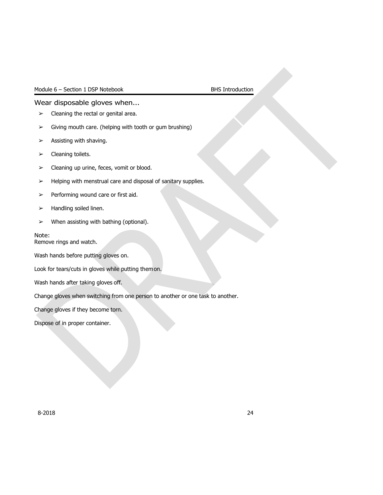## <span id="page-24-0"></span>Wear disposable gloves when...

- $\triangleright$  Cleaning the rectal or genital area.
- $\triangleright$  Giving mouth care. (helping with tooth or gum brushing)
- $\triangleright$  Assisting with shaving.
- ➢ Cleaning toilets.
- $\triangleright$  Cleaning up urine, feces, vomit or blood.
- ➢ Helping with menstrual care and disposal of sanitary supplies.
- $\triangleright$  Performing wound care or first aid.
- $\blacktriangleright$  Handling soiled linen.
- $\triangleright$  When assisting with bathing (optional).

## Note:

Remove rings and watch.

Wash hands before putting gloves on.

Look for tears/cuts in gloves while putting themon.

Wash hands after taking gloves off.

Change gloves when switching from one person to another or one task to another.

Change gloves if they become torn.

Dispose of in proper container.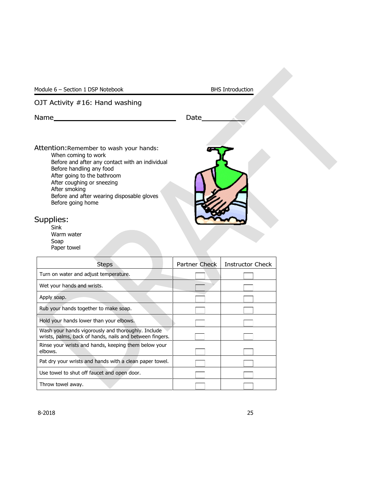## OJT Activity #16: Hand washing

Name Date

Attention:Remember to wash your hands: When coming to work

Before and after any contact with an individual Before handling any food After going to the bathroom After coughing or sneezing After smoking Before and after wearing disposable gloves

## Supplies:

Sink Warm water Soap Paper towel

Before going home

| Steps                                                                                                          | Partner Check | <b>Instructor Check</b> |
|----------------------------------------------------------------------------------------------------------------|---------------|-------------------------|
| Turn on water and adjust temperature.                                                                          |               |                         |
| Wet your hands and wrists.                                                                                     |               |                         |
| Apply soap.                                                                                                    |               |                         |
| Rub your hands together to make soap.                                                                          |               |                         |
| Hold your hands lower than your elbows.                                                                        |               |                         |
| Wash your hands vigorously and thoroughly. Include<br>wrists, palms, back of hands, nails and between fingers. |               |                         |
| Rinse your wrists and hands, keeping them below your<br>elbows.                                                |               |                         |
| Pat dry your wrists and hands with a clean paper towel.                                                        |               |                         |
| Use towel to shut off faucet and open door.                                                                    |               |                         |
| Throw towel away.                                                                                              |               |                         |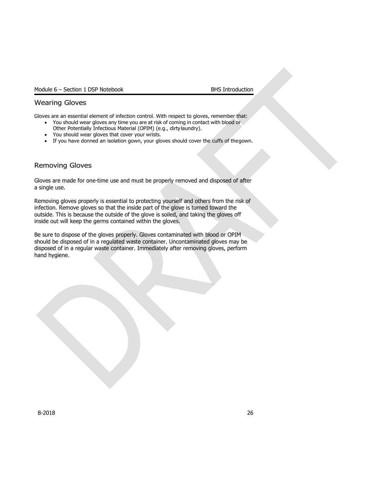## Wearing Gloves

Gloves are an essential element of infection control. With respect to gloves, remember that:

- You should wear gloves any time you are at risk of coming in contact with blood or Other Potentially Infectious Material (OPIM) (e.g., dirtylaundry).
- You should wear gloves that cover your wrists.
- If you have donned an isolation gown, your gloves should cover the cuffs of the gown.

## Removing Gloves

Gloves are made for one-time use and must be properly removed and disposed of after a single use.

Removing gloves properly is essential to protecting yourself and others from the risk of infection. Remove gloves so that the inside part of the glove is turned toward the outside. This is because the outside of the glove is soiled, and taking the gloves off inside out will keep the germs contained within the gloves.

Be sure to dispose of the gloves properly. Gloves contaminated with blood or OPIM should be disposed of in a regulated waste container. Uncontaminated gloves may be disposed of in a regular waste container. Immediately after removing gloves, perform hand hygiene.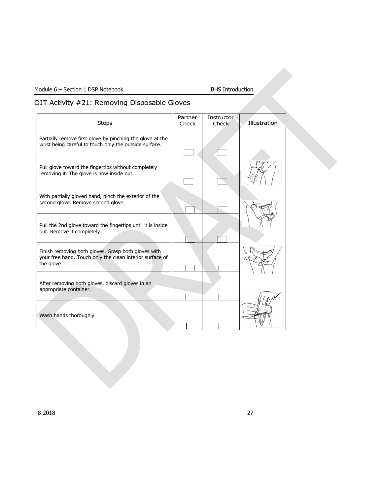## OJT Activity #21: Removing Disposable Gloves

| <b>Steps</b>                                                                                                                  | Partner<br>Check | <b>Instructor</b><br><b>Check</b> | Illustration |
|-------------------------------------------------------------------------------------------------------------------------------|------------------|-----------------------------------|--------------|
| Partially remove first glove by pinching the glove at the<br>wrist being careful to touch only the outside surface.           |                  |                                   |              |
| Pull glove toward the fingertips without completely<br>removing it. The glove is now inside out.                              |                  |                                   |              |
| With partially gloved hand, pinch the exterior of the<br>second glove. Remove second glove.                                   |                  |                                   |              |
| Pull the 2nd glove toward the fingertips until it is inside<br>out. Remove it completely.                                     |                  |                                   |              |
| Finish removing both gloves. Grasp both gloves with<br>your free hand. Touch only the clean interior surface of<br>the glove. |                  |                                   |              |
| After removing both gloves, discard gloves in an<br>appropriate container.                                                    |                  |                                   |              |
| Wash hands thoroughly.                                                                                                        |                  |                                   |              |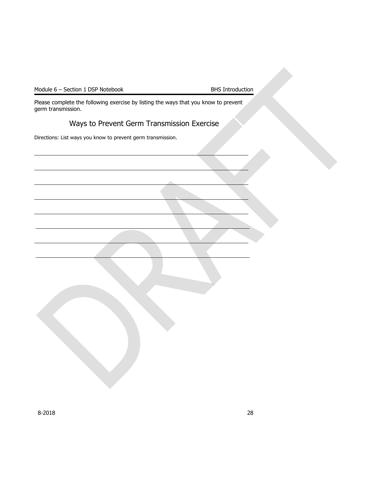Please complete the following exercise by listing the ways that you know to prevent germ transmission.

## Ways to Prevent Germ Transmission Exercise

Directions: List ways you know to prevent germ transmission.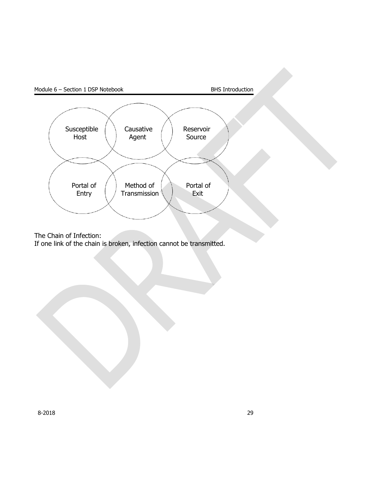

The Chain of Infection:

If one link of the chain is broken, infection cannot be transmitted.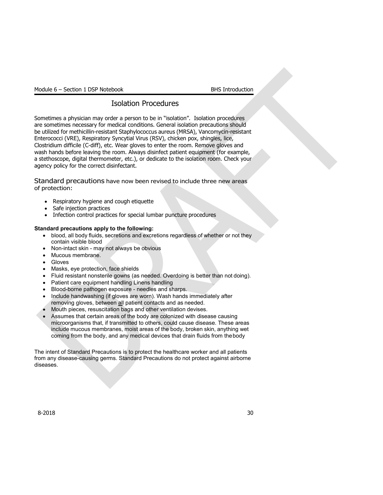## Isolation Procedures

Sometimes a physician may order a person to be in "isolation". Isolation procedures are sometimes necessary for medical conditions. General isolation precautions should be utilized for methicillin-resistant Staphylococcus aureus (MRSA), Vancomycin-resistant Enterococci (VRE), Respiratory Syncytial Virus (RSV), chicken pox, shingles, lice, Clostridium difficile (C-diff), etc. Wear gloves to enter the room. Remove gloves and wash hands before leaving the room. Always disinfect patient equipment (for example, a stethoscope, digital thermometer, etc.), or dedicate to the isolation room. Check your agency policy for the correct disinfectant.

Standard precautions have now been revised to include three new areas of protection:

- Respiratory hygiene and cough etiquette
- Safe injection practices
- Infection control practices for special lumbar puncture procedures

## **Standard precautions apply to the following:**

- blood, all body fluids, secretions and excretions regardless of whether or not they contain visible blood
- Non-intact skin may not always be obvious
- Mucous membrane.
- Gloves
- Masks, eye protection, face shields
- Fluid resistant nonsterile gowns (as needed. Overdoing is better than not doing).
- Patient care equipment handling Linens handling
- Blood-borne pathogen exposure needles and sharps.
- Include handwashing (if gloves are worn). Wash hands immediately after removing gloves, between all patient contacts and as needed.
- Mouth pieces, resuscitation bags and other ventilation devises.
- Assumes that certain areas of the body are colonized with disease causing microorganisms that, if transmitted to others, could cause disease. These areas include mucous membranes, moist areas of the body, broken skin, anything wet coming from the body, and any medical devices that drain fluids from thebody

The intent of Standard Precautions is to protect the healthcare worker and all patients from any disease-causing germs. Standard Precautions do not protect against airborne diseases.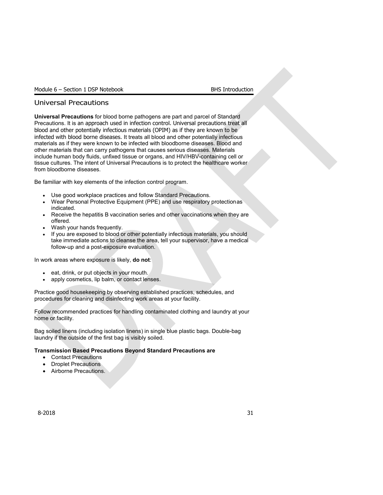## Universal Precautions

**Universal Precautions** for blood borne pathogens are part and parcel of Standard Precautions. It is an approach used in infection control. Universal precautions treat all blood and other potentially infectious materials (OPIM) as if they are known to be infected with blood borne diseases. It treats all blood and other potentially infectious materials as if they were known to be infected with bloodborne diseases. Blood and other materials that can carry pathogens that causes serious diseases. Materials include human body fluids, unfixed tissue or organs, and HIV/HBV-containing cell or tissue cultures. The intent of Universal Precautions is to protect the healthcare worker from bloodborne diseases.

Be familiar with key elements of the infection control program.

- Use good workplace practices and follow Standard Precautions.
- Wear Personal Protective Equipment (PPE) and use respiratory protectionas indicated.
- Receive the hepatitis B vaccination series and other vaccinations when they are offered.
- Wash your hands frequently.
- If you are exposed to blood or other potentially infectious materials, you should take immediate actions to cleanse the area, tell your supervisor, have a medical follow-up and a post-exposure evaluation.

In work areas where exposure is likely, **do not**:

- eat, drink, or put objects in your mouth.
- apply cosmetics, lip balm, or contact lenses.

Practice good housekeeping by observing established practices, schedules, and procedures for cleaning and disinfecting work areas at your facility.

Follow recommended practices for handling contaminated clothing and laundry at your home or facility.

Bag soiled linens (including isolation linens) in single blue plastic bags. Double-bag laundry if the outside of the first bag is visibly soiled.

## **Transmission Based Precautions Beyond Standard Precautions are**

- Contact Precautions
- Droplet Precautions
- Airborne Precautions.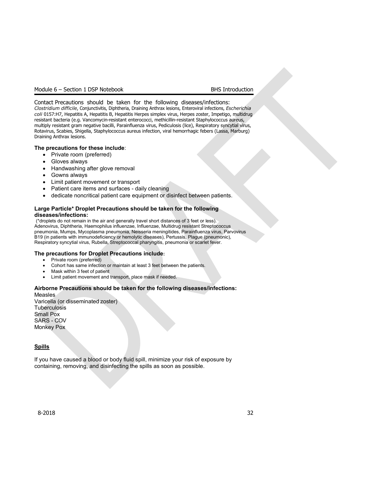Contact Precautions should be taken for the following diseases/infections: *Clostridium difficile*, Conjunctivitis, Diphtheria, Draining Anthrax lesions, Enteroviral infections, *Escherichia coli* 0157:H7, Hepatitis A, Hepatitis B, Hepatitis Herpes simplex virus, Herpes zoster, Impetigo, multidrug resistant bacteria (e.g. Vancomycin-resistant enterococci, methicillin-resistant Staphylococcus aureus, multiply resistant gram negative bacilli, Parainfluenza virus, Pediculosis (lice), Respiratory syncytial virus, Rotavirus, Scabies, Shigella, Staphylococcus aureus infection, viral hemorrhagic febers (Lassa, Marburg) Draining Anthrax lesions.

### **The precautions for these include**:

- Private room (preferred)
- Gloves always
- Handwashing after glove removal
- Gowns always
- Limit patient movement or transport
- Patient care items and surfaces daily cleaning
- dedicate noncritical patient care equipment or disinfect between patients.

### **Large Particle\* Droplet Precautions should be taken for the following diseases/infections:**

(\*droplets do not remain in the air and generally travel short distances of 3 feet or less). Adenovirus, Diphtheria, Haemophilus influenzae, Influenzae, Multidrug resistant Streptococcus pneumonia, Mumps, Mycoplasma pneumonia, Neisseria meningitides, Parainfluenza virus, Parvovirus B19 (in patients with immunodeficiency or hemolytic diseases), Pertussis, Plague (pneumonic), Respiratory syncytial virus, Rubella, Streptococcal pharyngitis, pneumonia or scarlet fever.

#### **The precautions for Droplet Precautions include:**

- Private room (preferred)
- Cohort has same infection or maintain at least 3 feet between the patients.
- Mask within 3 feet of patient
- Limit patient movement and transport, place mask if needed.

## **Airborne Precautions should be taken for the following diseases/infections:**

Measles Varicella (or disseminated zoster) **Tuberculosis** Small Pox SARS - COV Monkey Pox

## **Spills**

If you have caused a blood or body fluid spill, minimize your risk of exposure by containing, removing, and disinfecting the spills as soon as possible.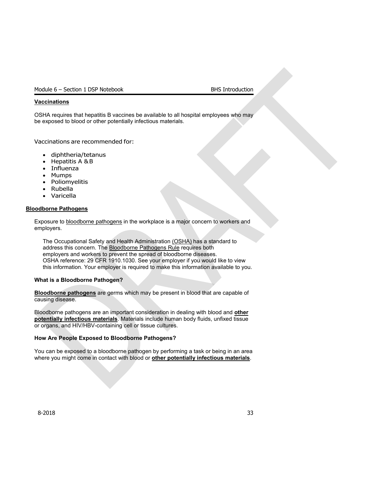### **Vaccinations**

OSHA requires that hepatitis B vaccines be available to all hospital employees who may be exposed to blood or other potentially infectious materials.

Vaccinations are recommended for:

- diphtheria/tetanus
- Hepatitis A &B
- **Influenza**
- Mumps
- Poliomyelitis
- Rubella
- Varicella

#### **Bloodborne Pathogens**

Exposure to bloodborne pathogens in the workplace is a major concern to workers and employers.

The Occupational Safety and Health Administration (OSHA) has a standard to address this concern. The Bloodborne Pathogens Rule requires both employers and workers to prevent the spread of bloodborne diseases. OSHA reference: 29 CFR 1910.1030. See your employer if you would like to view this information. Your employer is required to make this information available to you.

#### **What is a Bloodborne Pathogen?**

**Bloodborne pathogens** are germs which may be present in blood that are capable of causing disease.

Bloodborne pathogens are an important consideration in dealing with blood and **other potentially infectious materials**. Materials include human body fluids, unfixed tissue or organs, and HIV/HBV-containing cell or tissue cultures.

### **How Are People Exposed to Bloodborne Pathogens?**

You can be exposed to a bloodborne pathogen by performing a task or being in an area where you might come in contact with blood or **other potentially infectious materials**.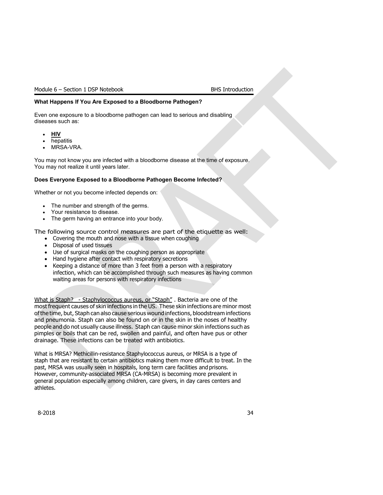### **What Happens If You Are Exposed to a Bloodborne Pathogen?**

Even one exposure to a bloodborne pathogen can lead to serious and disabling diseases such as:

- **HIV**
- **hepatitis**
- MRSA-VRA.

You may not know you are infected with a bloodborne disease at the time of exposure. You may not realize it until years later.

## **Does Everyone Exposed to a Bloodborne Pathogen Become Infected?**

Whether or not you become infected depends on:

- The number and strength of the germs.
- Your resistance to disease.
- The germ having an entrance into your body.

The following source control measures are part of the etiquette as well:

- Covering the mouth and nose with a tissue when coughing
- Disposal of used tissues
- Use of surgical masks on the coughing person as appropriate
- Hand hygiene after contact with respiratory secretions
- Keeping a distance of more than 3 feet from a person with a respiratory infection, which can be accomplished through such measures as having common waiting areas for persons with respiratory infections

What is Staph? - Staphylococcus aureus, or "Staph". Bacteria are one of the most frequent causes of skin infections in the US. These skin infections are minor most ofthe time, but, Staph can also cause serious wound infections, bloodstream infections and pneumonia. Staph can also be found on or in the skin in the noses of healthy people and do not usually cause illness. Staph can cause minor skin infections such as pimples or boils that can be red, swollen and painful, and often have pus or other drainage. These infections can be treated with antibiotics.

What is MRSA? Methicillin-resistance Staphylococcus aureus, or MRSA is a type of staph that are resistant to certain antibiotics making them more difficult to treat. In the past, MRSA was usually seen in hospitals, long term care facilities and prisons. However, community-associated MRSA (CA-MRSA) is becoming more prevalent in general population especially among children, care givers, in day cares centers and athletes.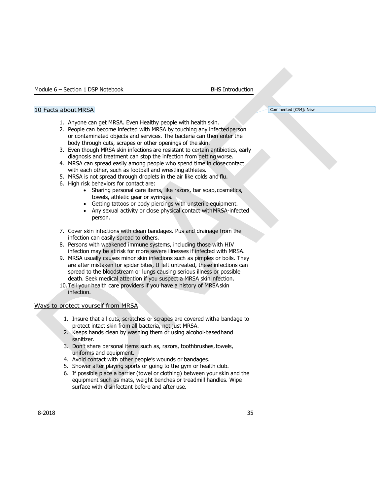### 10 Facts about MRSA Commented [CR4]: New

- 1. Anyone can get MRSA. Even Healthy people with health skin.
- 2. People can become infected with MRSA by touching any infectedperson or contaminated objects and services. The bacteria can then enter the body through cuts, scrapes or other openings of the skin.
- 3. Even though MRSA skin infections are resistant to certain antibiotics, early diagnosis and treatment can stop the infection from getting worse.
- 4. MRSA can spread easily among people who spend time in closecontact with each other, such as football and wrestling athletes.
- 5. MRSA is not spread through droplets in the air like colds and flu.
- 6. High risk behaviors for contact are:
	- Sharing personal care items, like razors, bar soap, cosmetics, towels, athletic gear or syringes.
	- Getting tattoos or body piercings with unsterile equipment.
	- Any sexual activity or close physical contact withMRSA-infected person.
- 7. Cover skin infections with clean bandages. Pus and drainage from the infection can easily spread to others.
- 8. Persons with weakened immune systems, including those with HIV infection may be at risk for more severe illnesses if infected with MRSA.
- 9. MRSA usually causes minor skin infections such as pimples or boils. They are after mistaken for spider bites, If left untreated, these infections can spread to the bloodstream or lungs causing serious illness or possible death. Seek medical attention if you suspect a MRSA skin infection.
- 10.Tell your health care providers if you have a history of MRSAskin infection.

## Ways to protect yourself from MRSA

- 1. Insure that all cuts, scratches or scrapes are covered witha bandage to protect intact skin from all bacteria, not just MRSA.
- 2. Keeps hands clean by washing them or using alcohol-basedhand sanitizer.
- 3. Don't share personal items such as, razors, toothbrushes, towels, uniforms and equipment.
- 4. Avoid contact with other people's wounds or bandages.
- 5. Shower after playing sports or going to the gym or health club.
- 6. If possible place a barrier (towel or clothing) between your skin and the equipment such as mats, weight benches or treadmill handles. Wipe surface with disinfectant before and after use.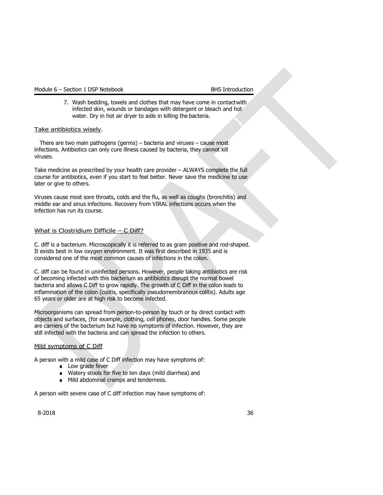7. Wash bedding, towels and clothes that may have come in contactwith infected skin, wounds or bandages with detergent or bleach and hot water. Dry in hot air dryer to aide in killing the bacteria.

## Take antibiotics wisely.

There are two main pathogens (germs) – bacteria and viruses – cause most infections. Antibiotics can only cure illness caused by bacteria, they cannot kill viruses.

Take medicine as prescribed by your health care provider – ALWAYS complete the full course for antibiotics, even if you start to feel better. Never save the medicine to use later or give to others.

Viruses cause most sore throats, colds and the flu, as well as coughs (bronchitis) and middle ear and sinus infections. Recovery from VIRAL infections occurs when the infection has run its course.

## What is Clostridium Difficile – C Diff?

C. diff is a bacterium. Microscopically it is referred to as gram positive and rod-shaped. It exists best in low oxygen environment. It was first described in 1935 and is considered one of the most common causes of infections in the colon.

C. diff can be found in uninfected persons. However, people taking antibiotics are risk of becoming infected with this bacterium as antibiotics disrupt the normal bowel bacteria and allows C Diff to grow rapidly. The growth of C Diff in the colon leads to inflammation of the colon (colitis, specifically pseudomembranous colitis). Adults age 65 years or older are at high risk to become infected.

Microorganisms can spread from person-to-person by touch or by direct contact with objects and surfaces, (for example, clothing, cell phones, door handles. Some people are carriers of the bacterium but have no symptoms of infection. However, they are still infected with the bacteria and can spread the infection to others.

## Mild symptoms of C Diff

A person with a mild case of C Diff infection may have symptoms of:

- Low grade fever
- Watery stools for five to ten days (mild diarrhea) and
- Mild abdominal cramps and tenderness.

A person with severe case of C diff infection may have symptoms of: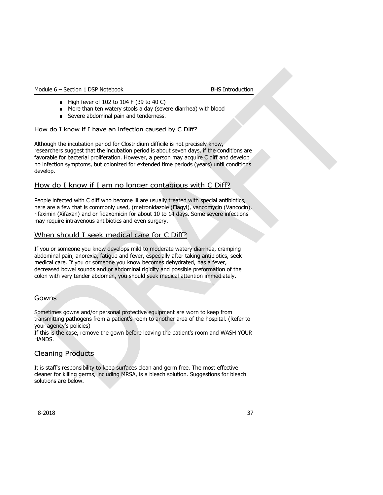- High fever of 102 to 104 F (39 to 40 C)
- More than ten watery stools a day (severe diarrhea) with blood
- Severe abdominal pain and tenderness.

How do I know if I have an infection caused by C Diff?

Although the incubation period for Clostridium difficile is not precisely know, researchers suggest that the incubation period is about seven days, if the conditions are favorable for bacterial proliferation. However, a person may acquire C diff and develop no infection symptoms, but colonized for extended time periods (years) until conditions develop.

## How do I know if I am no longer contagious with C Diff?

People infected with C diff who become ill are usually treated with special antibiotics, here are a few that is commonly used, (metronidazole (Flagyl), vancomycin (Vancocin), rifaximin (Xifaxan) and or fidaxomicin for about 10 to 14 days. Some severe infections may require intravenous antibiotics and even surgery.

## When should I seek medical care for C Diff?

If you or someone you know develops mild to moderate watery diarrhea, cramping abdominal pain, anorexia, fatigue and fever, especially after taking antibiotics, seek medical care. If you or someone you know becomes dehydrated, has a fever, decreased bowel sounds and or abdominal rigidity and possible preformation of the colon with very tender abdomen, you should seek medical attention immediately.

## **Gowns**

Sometimes gowns and/or personal protective equipment are worn to keep from transmitting pathogens from a patient's room to another area of the hospital. (Refer to your agency's policies)

If this is the case, remove the gown before leaving the patient's room and WASH YOUR HANDS.

## Cleaning Products

It is staff's responsibility to keep surfaces clean and germ free. The most effective cleaner for killing germs, including MRSA, is a bleach solution. Suggestions for bleach solutions are below.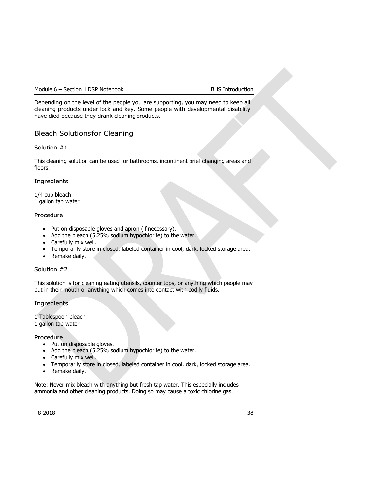Depending on the level of the people you are supporting, you may need to keep all cleaning products under lock and key. Some people with developmental disability have died because they drank cleaningproducts.

## Bleach Solutionsfor Cleaning

Solution #1

This cleaning solution can be used for bathrooms, incontinent brief changing areas and floors.

## **Ingredients**

1/4 cup bleach 1 gallon tap water

## Procedure

- Put on disposable gloves and apron (if necessary).
- Add the bleach (5.25% sodium hypochlorite) to the water.
- Carefully mix well.
- Temporarily store in closed, labeled container in cool, dark, locked storage area.
- Remake daily.

## Solution #2

This solution is for cleaning eating utensils, counter tops, or anything which people may put in their mouth or anything which comes into contact with bodily fluids.

## **Ingredients**

1 Tablespoon bleach

1 gallon tap water

Procedure

- Put on disposable gloves.
- Add the bleach (5.25% sodium hypochlorite) to the water.
- Carefully mix well.
- Temporarily store in closed, labeled container in cool, dark, locked storage area.
- Remake daily.

Note: Never mix bleach with anything but fresh tap water. This especially includes ammonia and other cleaning products. Doing so may cause a toxic chlorine gas.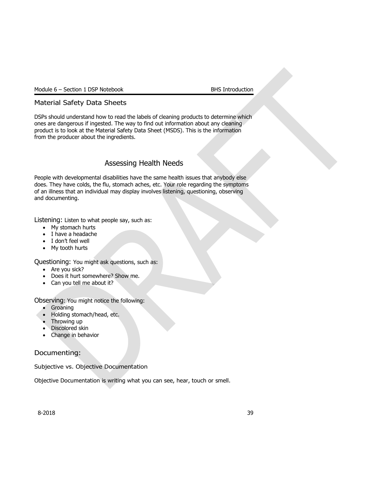## Material Safety Data Sheets

DSPs should understand how to read the labels of cleaning products to determine which ones are dangerous if ingested. The way to find out information about any cleaning product is to look at the Material Safety Data Sheet (MSDS). This is the information from the producer about the ingredients.

## Assessing Health Needs

People with developmental disabilities have the same health issues that anybody else does. They have colds, the flu, stomach aches, etc. Your role regarding the symptoms of an illness that an individual may display involves listening, questioning, observing and documenting.

Listening: Listen to what people say, such as:

- My stomach hurts
- I have a headache
- I don't feel well
- My tooth hurts

Questioning: You might ask questions, such as:

- Are you sick?
- Does it hurt somewhere? Show me.
- Can you tell me about it?

Observing: You might notice the following:

- Groaning
- Holding stomach/head, etc.
- Throwing up
- Discolored skin
- Change in behavior

## Documenting:

Subjective vs. Objective Documentation

Objective Documentation is writing what you can see, hear, touch or smell.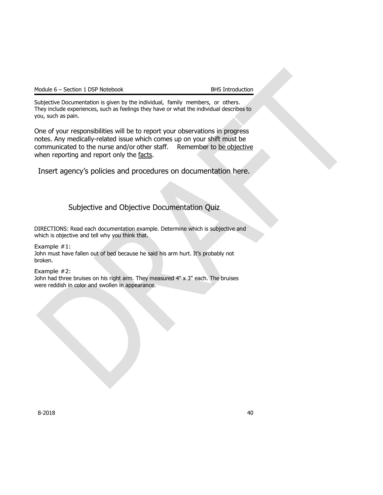Subjective Documentation is given by the individual, family members, or others. They include experiences, such as feelings they have or what the individual describes to you, such as pain.

One of your responsibilities will be to report your observations in progress notes. Any medically-related issue which comes up on your shift must be communicated to the nurse and/or other staff. Remember to be objective when reporting and report only the facts.

Insert agency's policies and procedures on documentation here.

## Subjective and Objective Documentation Quiz

DIRECTIONS: Read each documentation example. Determine which is subjective and which is objective and tell why you think that.

Example #1:

John must have fallen out of bed because he said his arm hurt. It's probably not broken.

Example #2:

John had three bruises on his right arm. They measured 4" x 3" each. The bruises were reddish in color and swollen in appearance.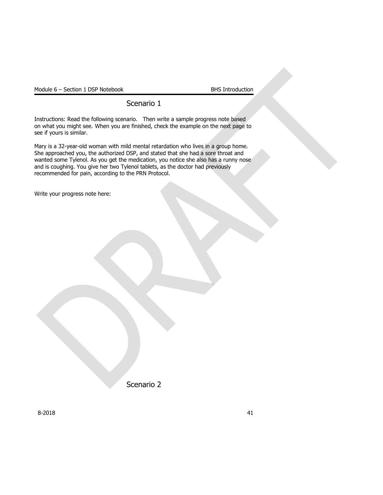## Scenario 1

Instructions: Read the following scenario. Then write a sample progress note based on what you might see. When you are finished, check the example on the next page to see if yours is similar.

Mary is a 32-year-old woman with mild mental retardation who lives in a group home. She approached you, the authorized DSP, and stated that she had a sore throat and wanted some Tylenol. As you get the medication, you notice she also has a runny nose and is coughing. You give her two Tylenol tablets, as the doctor had previously recommended for pain, according to the PRN Protocol.

Write your progress note here:

Scenario 2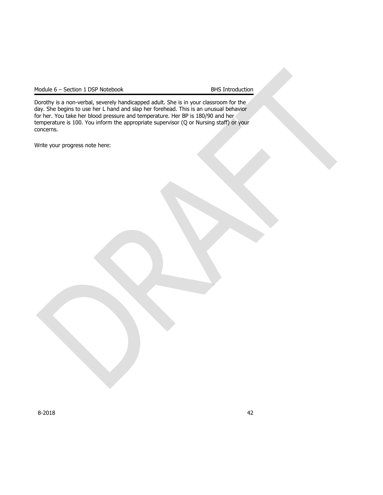Dorothy is a non-verbal, severely handicapped adult. She is in your classroom for the day. She begins to use her L hand and slap her forehead. This is an unusual behavior for her. You take her blood pressure and temperature. Her BP is 180/90 and her temperature is 100. You inform the appropriate supervisor (Q or Nursing staff) or your concerns.

Write your progress note here: